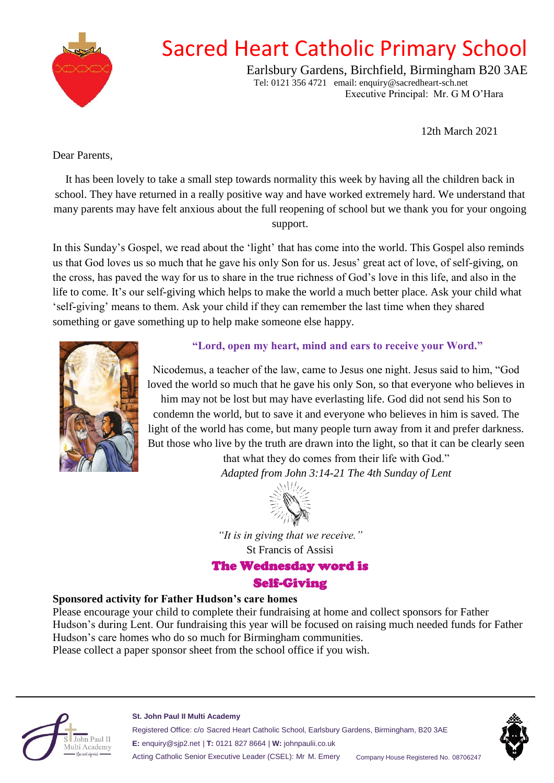

# Sacred Heart Catholic Primary School

Earlsbury Gardens, Birchfield, Birmingham B20 3AE Tel: 0121 356 4721 email: enquiry@sacredheart-sch.net Executive Principal: Mr. G M O'Hara

12th March 2021

Dear Parents,

It has been lovely to take a small step towards normality this week by having all the children back in school. They have returned in a really positive way and have worked extremely hard. We understand that many parents may have felt anxious about the full reopening of school but we thank you for your ongoing support.

In this Sunday's Gospel, we read about the 'light' that has come into the world. This Gospel also reminds us that God loves us so much that he gave his only Son for us. Jesus' great act of love, of self-giving, on the cross, has paved the way for us to share in the true richness of God's love in this life, and also in the life to come. It's our self-giving which helps to make the world a much better place. Ask your child what 'self-giving' means to them. Ask your child if they can remember the last time when they shared something or gave something up to help make someone else happy.



## **"Lord, open my heart, mind and ears to receive your Word."**

Nicodemus, a teacher of the law, came to Jesus one night. Jesus said to him, "God loved the world so much that he gave his only Son, so that everyone who believes in him may not be lost but may have everlasting life. God did not send his Son to condemn the world, but to save it and everyone who believes in him is saved. The light of the world has come, but many people turn away from it and prefer darkness. But those who live by the truth are drawn into the light, so that it can be clearly seen

> that what they do comes from their life with God." *Adapted from John 3:14-21 The 4th Sunday of Lent*



*"It is in giving that we receive."*  St Francis of Assisi The Wednesday word is Self-Giving

### **Sponsored activity for Father Hudson's care homes**

Please encourage your child to complete their fundraising at home and collect sponsors for Father Hudson's during Lent. Our fundraising this year will be focused on raising much needed funds for Father Hudson's care homes who do so much for Birmingham communities. Please collect a paper sponsor sheet from the school office if you wish.



**St. John Paul II Multi Academy**

Registered Office: c/o Sacred Heart Catholic School, Earlsbury Gardens, Birmingham, B20 3AE **E:** enquiry@sjp2.net | **T:** 0121 827 8664 | **W:** johnpaulii.co.uk Acting Catholic Senior Executive Leader (CSEL): Mr M. Emery Company House Registered No. 08706247

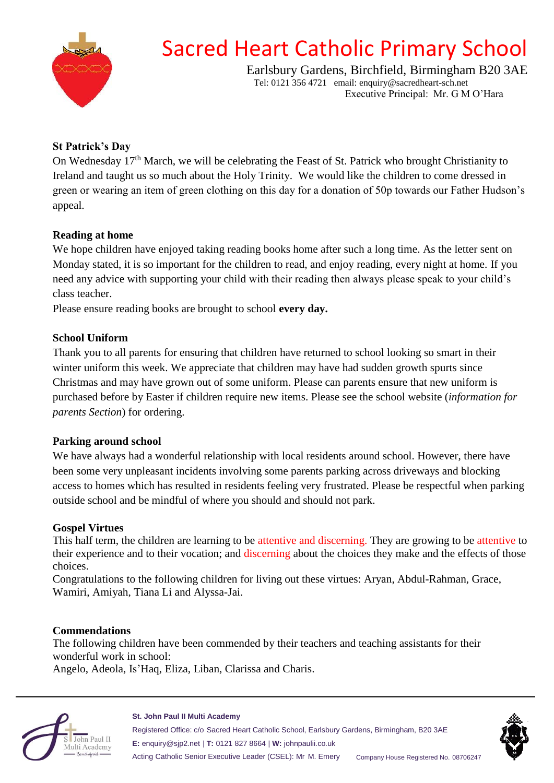

# Sacred Heart Catholic Primary School

Earlsbury Gardens, Birchfield, Birmingham B20 3AE Tel: 0121 356 4721 email: enquiry@sacredheart-sch.net Executive Principal: Mr. G M O'Hara

## **St Patrick's Day**

On Wednesday 17<sup>th</sup> March, we will be celebrating the Feast of St. Patrick who brought Christianity to Ireland and taught us so much about the Holy Trinity. We would like the children to come dressed in green or wearing an item of green clothing on this day for a donation of 50p towards our Father Hudson's appeal.

### **Reading at home**

We hope children have enjoyed taking reading books home after such a long time. As the letter sent on Monday stated, it is so important for the children to read, and enjoy reading, every night at home. If you need any advice with supporting your child with their reading then always please speak to your child's class teacher.

Please ensure reading books are brought to school **every day.**

### **School Uniform**

Thank you to all parents for ensuring that children have returned to school looking so smart in their winter uniform this week. We appreciate that children may have had sudden growth spurts since Christmas and may have grown out of some uniform. Please can parents ensure that new uniform is purchased before by Easter if children require new items. Please see the school website (*information for parents Section*) for ordering.

### **Parking around school**

We have always had a wonderful relationship with local residents around school. However, there have been some very unpleasant incidents involving some parents parking across driveways and blocking access to homes which has resulted in residents feeling very frustrated. Please be respectful when parking outside school and be mindful of where you should and should not park.

### **Gospel Virtues**

This half term, the children are learning to be attentive and discerning. They are growing to be attentive to their experience and to their vocation; and discerning about the choices they make and the effects of those choices.

Congratulations to the following children for living out these virtues: Aryan, Abdul-Rahman, Grace, Wamiri, Amiyah, Tiana Li and Alyssa-Jai.

### **Commendations**

The following children have been commended by their teachers and teaching assistants for their wonderful work in school:

Angelo, Adeola, Is'Haq, Eliza, Liban, Clarissa and Charis.



#### **St. John Paul II Multi Academy**

Registered Office: c/o Sacred Heart Catholic School, Earlsbury Gardens, Birmingham, B20 3AE **E:** enquiry@sjp2.net | **T:** 0121 827 8664 | **W:** johnpaulii.co.uk Acting Catholic Senior Executive Leader (CSEL): Mr M. Emery Company House Registered No. 08706247